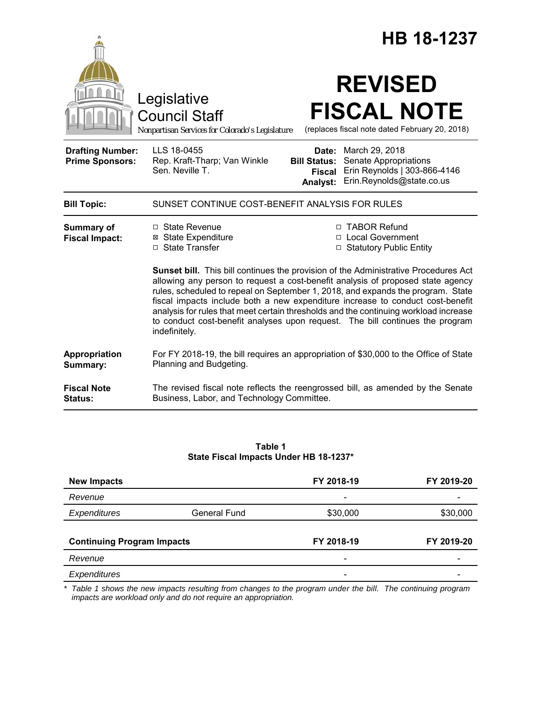|                                                   |                                                                                                                                                                                                                                                                                                                                                                                                                                                                                                                                              | HB 18-1237                                                |                                                                                                      |  |
|---------------------------------------------------|----------------------------------------------------------------------------------------------------------------------------------------------------------------------------------------------------------------------------------------------------------------------------------------------------------------------------------------------------------------------------------------------------------------------------------------------------------------------------------------------------------------------------------------------|-----------------------------------------------------------|------------------------------------------------------------------------------------------------------|--|
|                                                   | Legislative<br><b>Council Staff</b><br>Nonpartisan Services for Colorado's Legislature                                                                                                                                                                                                                                                                                                                                                                                                                                                       |                                                           | <b>REVISED</b><br><b>FISCAL NOTE</b><br>(replaces fiscal note dated February 20, 2018)               |  |
| <b>Drafting Number:</b><br><b>Prime Sponsors:</b> | LLS 18-0455<br>Rep. Kraft-Tharp; Van Winkle<br>Sen. Neville T.                                                                                                                                                                                                                                                                                                                                                                                                                                                                               | Date:<br><b>Bill Status:</b><br><b>Fiscal</b><br>Analyst: | March 29, 2018<br>Senate Appropriations<br>Erin Reynolds   303-866-4146<br>Erin.Reynolds@state.co.us |  |
| <b>Bill Topic:</b>                                | SUNSET CONTINUE COST-BENEFIT ANALYSIS FOR RULES                                                                                                                                                                                                                                                                                                                                                                                                                                                                                              |                                                           |                                                                                                      |  |
| Summary of<br><b>Fiscal Impact:</b>               | □ State Revenue<br>⊠ State Expenditure<br>□ State Transfer                                                                                                                                                                                                                                                                                                                                                                                                                                                                                   |                                                           | □ TABOR Refund<br>□ Local Government<br>□ Statutory Public Entity                                    |  |
|                                                   | <b>Sunset bill.</b> This bill continues the provision of the Administrative Procedures Act<br>allowing any person to request a cost-benefit analysis of proposed state agency<br>rules, scheduled to repeal on September 1, 2018, and expands the program. State<br>fiscal impacts include both a new expenditure increase to conduct cost-benefit<br>analysis for rules that meet certain thresholds and the continuing workload increase<br>to conduct cost-benefit analyses upon request. The bill continues the program<br>indefinitely. |                                                           |                                                                                                      |  |
| Appropriation<br>Summary:                         | For FY 2018-19, the bill requires an appropriation of \$30,000 to the Office of State<br>Planning and Budgeting.                                                                                                                                                                                                                                                                                                                                                                                                                             |                                                           |                                                                                                      |  |
| <b>Fiscal Note</b><br>Status:                     | The revised fiscal note reflects the reengrossed bill, as amended by the Senate<br>Business, Labor, and Technology Committee.                                                                                                                                                                                                                                                                                                                                                                                                                |                                                           |                                                                                                      |  |

#### **Table 1 State Fiscal Impacts Under HB 18-1237\***

| <b>New Impacts</b>                |                     | FY 2018-19                   | FY 2019-20 |
|-----------------------------------|---------------------|------------------------------|------------|
| Revenue                           |                     | $\qquad \qquad \blacksquare$ |            |
| Expenditures                      | <b>General Fund</b> | \$30,000                     | \$30,000   |
|                                   |                     |                              |            |
| <b>Continuing Program Impacts</b> |                     | FY 2018-19                   | FY 2019-20 |
| Revenue                           |                     |                              |            |
| Expenditures                      |                     | $\overline{\phantom{a}}$     |            |

*\* Table 1 shows the new impacts resulting from changes to the program under the bill. The continuing program impacts are workload only and do not require an appropriation.*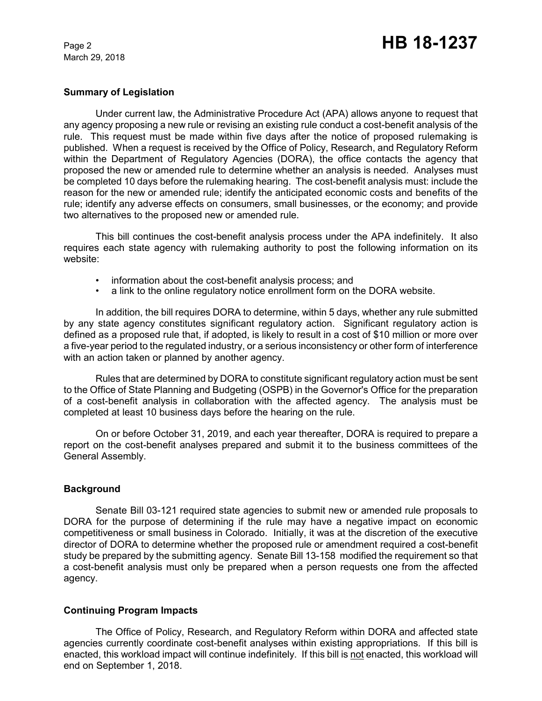March 29, 2018

### **Summary of Legislation**

Under current law, the Administrative Procedure Act (APA) allows anyone to request that any agency proposing a new rule or revising an existing rule conduct a cost-benefit analysis of the rule. This request must be made within five days after the notice of proposed rulemaking is published. When a request is received by the Office of Policy, Research, and Regulatory Reform within the Department of Regulatory Agencies (DORA), the office contacts the agency that proposed the new or amended rule to determine whether an analysis is needed. Analyses must be completed 10 days before the rulemaking hearing. The cost-benefit analysis must: include the reason for the new or amended rule; identify the anticipated economic costs and benefits of the rule; identify any adverse effects on consumers, small businesses, or the economy; and provide two alternatives to the proposed new or amended rule.

This bill continues the cost-benefit analysis process under the APA indefinitely. It also requires each state agency with rulemaking authority to post the following information on its website:

- information about the cost-benefit analysis process; and
- a link to the online regulatory notice enrollment form on the DORA website.

In addition, the bill requires DORA to determine, within 5 days, whether any rule submitted by any state agency constitutes significant regulatory action. Significant regulatory action is defined as a proposed rule that, if adopted, is likely to result in a cost of \$10 million or more over a five-year period to the regulated industry, or a serious inconsistency or other form of interference with an action taken or planned by another agency.

Rules that are determined by DORA to constitute significant regulatory action must be sent to the Office of State Planning and Budgeting (OSPB) in the Governor's Office for the preparation of a cost-benefit analysis in collaboration with the affected agency. The analysis must be completed at least 10 business days before the hearing on the rule.

On or before October 31, 2019, and each year thereafter, DORA is required to prepare a report on the cost-benefit analyses prepared and submit it to the business committees of the General Assembly.

### **Background**

Senate Bill 03-121 required state agencies to submit new or amended rule proposals to DORA for the purpose of determining if the rule may have a negative impact on economic competitiveness or small business in Colorado. Initially, it was at the discretion of the executive director of DORA to determine whether the proposed rule or amendment required a cost-benefit study be prepared by the submitting agency. Senate Bill 13-158 modified the requirement so that a cost-benefit analysis must only be prepared when a person requests one from the affected agency.

### **Continuing Program Impacts**

The Office of Policy, Research, and Regulatory Reform within DORA and affected state agencies currently coordinate cost-benefit analyses within existing appropriations. If this bill is enacted, this workload impact will continue indefinitely. If this bill is not enacted, this workload will end on September 1, 2018.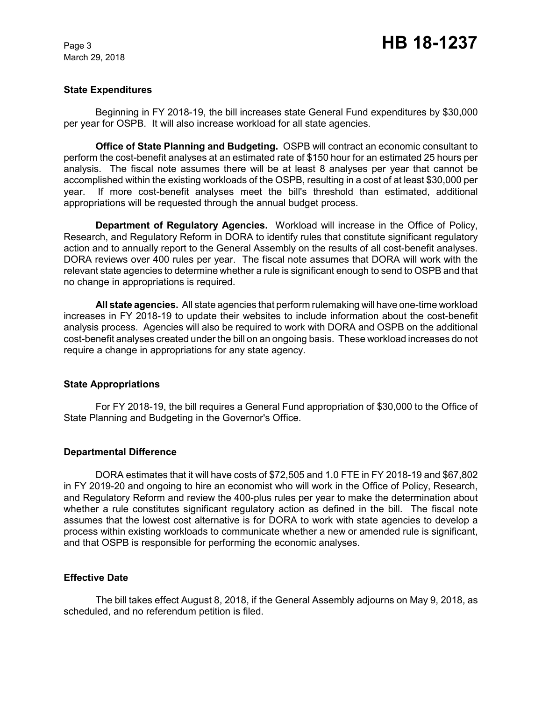March 29, 2018

### **State Expenditures**

Beginning in FY 2018-19, the bill increases state General Fund expenditures by \$30,000 per year for OSPB. It will also increase workload for all state agencies.

**Office of State Planning and Budgeting.** OSPB will contract an economic consultant to perform the cost-benefit analyses at an estimated rate of \$150 hour for an estimated 25 hours per analysis. The fiscal note assumes there will be at least 8 analyses per year that cannot be accomplished within the existing workloads of the OSPB, resulting in a cost of at least \$30,000 per year. If more cost-benefit analyses meet the bill's threshold than estimated, additional appropriations will be requested through the annual budget process.

**Department of Regulatory Agencies.** Workload will increase in the Office of Policy, Research, and Regulatory Reform in DORA to identify rules that constitute significant regulatory action and to annually report to the General Assembly on the results of all cost-benefit analyses. DORA reviews over 400 rules per year. The fiscal note assumes that DORA will work with the relevant state agencies to determine whether a rule is significant enough to send to OSPB and that no change in appropriations is required.

**All state agencies.** All state agencies that perform rulemaking will have one-time workload increases in FY 2018-19 to update their websites to include information about the cost-benefit analysis process. Agencies will also be required to work with DORA and OSPB on the additional cost-benefit analyses created under the bill on an ongoing basis. These workload increases do not require a change in appropriations for any state agency.

### **State Appropriations**

For FY 2018-19, the bill requires a General Fund appropriation of \$30,000 to the Office of State Planning and Budgeting in the Governor's Office.

### **Departmental Difference**

DORA estimates that it will have costs of \$72,505 and 1.0 FTE in FY 2018-19 and \$67,802 in FY 2019-20 and ongoing to hire an economist who will work in the Office of Policy, Research, and Regulatory Reform and review the 400-plus rules per year to make the determination about whether a rule constitutes significant regulatory action as defined in the bill. The fiscal note assumes that the lowest cost alternative is for DORA to work with state agencies to develop a process within existing workloads to communicate whether a new or amended rule is significant, and that OSPB is responsible for performing the economic analyses.

### **Effective Date**

The bill takes effect August 8, 2018, if the General Assembly adjourns on May 9, 2018, as scheduled, and no referendum petition is filed.